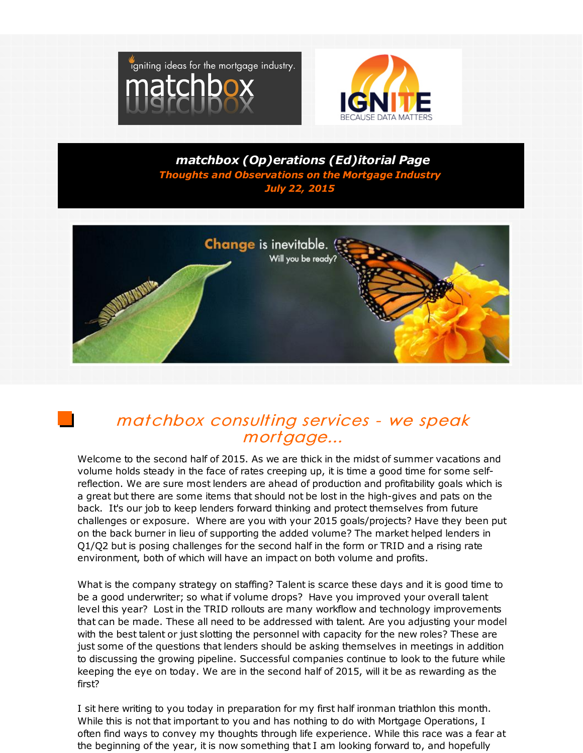



*matchbox (Op)erations (Ed)itorial Page Thoughts and Observations on the Mortgage Industry July 22, 2015*



# matchbox consulting services - we speak mortgage...

Welcome to the second half of 2015. As we are thick in the midst of summer vacations and volume holds steady in the face of rates creeping up, it is time a good time for some selfreflection. We are sure most lenders are ahead of production and profitability goals which is a great but there are some items that should not be lost in the high-gives and pats on the back. It's our job to keep lenders forward thinking and protect themselves from future challenges or exposure. Where are you with your 2015 goals/projects? Have they been put on the back burner in lieu of supporting the added volume? The market helped lenders in Q1/Q2 but is posing challenges for the second half in the form or TRID and a rising rate environment, both of which will have an impact on both volume and profits.

What is the company strategy on staffing? Talent is scarce these days and it is good time to be a good underwriter; so what if volume drops? Have you improved your overall talent level this year? Lost in the TRID rollouts are many workflow and technology improvements that can be made. These all need to be addressed with talent. Are you adjusting your model with the best talent or just slotting the personnel with capacity for the new roles? These are just some of the questions that lenders should be asking themselves in meetings in addition to discussing the growing pipeline. Successful companies continue to look to the future while keeping the eye on today. We are in the second half of 2015, will it be as rewarding as the first?

I sit here writing to you today in preparation for my first half ironman triathlon this month. While this is not that important to you and has nothing to do with Mortgage Operations, I often find ways to convey my thoughts through life experience. While this race was a fear at the beginning of the year, it is now something that I am looking forward to, and hopefully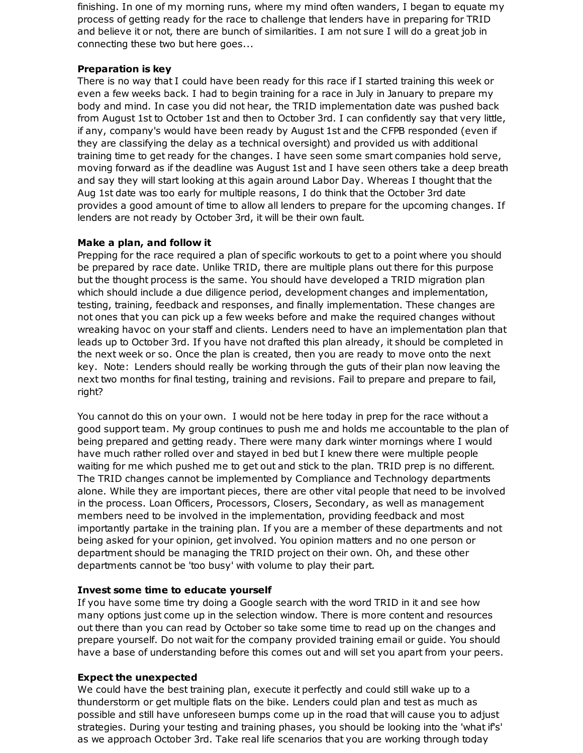finishing. In one of my morning runs, where my mind often wanders, I began to equate my process of getting ready for the race to challenge that lenders have in preparing for TRID and believe it or not, there are bunch of similarities. I am not sure I will do a great job in connecting these two but here goes...

### **Preparation is key**

There is no way that I could have been ready for this race if I started training this week or even a few weeks back. I had to begin training for a race in July in January to prepare my body and mind. In case you did not hear, the TRID implementation date was pushed back from August 1st to October 1st and then to October 3rd. I can confidently say that very little, if any, company's would have been ready by August 1st and the CFPB responded (even if they are classifying the delay as a technical oversight) and provided us with additional training time to get ready for the changes. I have seen some smart companies hold serve, moving forward as if the deadline was August 1st and I have seen others take a deep breath and say they will start looking at this again around Labor Day. Whereas I thought that the Aug 1st date was too early for multiple reasons, I do think that the October 3rd date provides a good amount of time to allow all lenders to prepare for the upcoming changes. If lenders are not ready by October 3rd, it will be their own fault.

### **Make a plan, and follow it**

Prepping for the race required a plan of specific workouts to get to a point where you should be prepared by race date. Unlike TRID, there are multiple plans out there for this purpose but the thought process is the same. You should have developed a TRID migration plan which should include a due diligence period, development changes and implementation, testing, training, feedback and responses, and finally implementation. These changes are not ones that you can pick up a few weeks before and make the required changes without wreaking havoc on your staff and clients. Lenders need to have an implementation plan that leads up to October 3rd. If you have not drafted this plan already, it should be completed in the next week or so. Once the plan is created, then you are ready to move onto the next key. Note: Lenders should really be working through the guts of their plan now leaving the next two months for final testing, training and revisions. Fail to prepare and prepare to fail, right?

You cannot do this on your own. I would not be here today in prep for the race without a good support team. My group continues to push me and holds me accountable to the plan of being prepared and getting ready. There were many dark winter mornings where I would have much rather rolled over and stayed in bed but I knew there were multiple people waiting for me which pushed me to get out and stick to the plan. TRID prep is no different. The TRID changes cannot be implemented by Compliance and Technology departments alone. While they are important pieces, there are other vital people that need to be involved in the process. Loan Officers, Processors, Closers, Secondary, as well as management members need to be involved in the implementation, providing feedback and most importantly partake in the training plan. If you are a member of these departments and not being asked for your opinion, get involved. You opinion matters and no one person or department should be managing the TRID project on their own. Oh, and these other departments cannot be 'too busy' with volume to play their part.

## **Invest some time to educate yourself**

If you have some time try doing a Google search with the word TRID in it and see how many options just come up in the selection window. There is more content and resources out there than you can read by October so take some time to read up on the changes and prepare yourself. Do not wait for the company provided training email or guide. You should have a base of understanding before this comes out and will set you apart from your peers.

## **Expect the unexpected**

We could have the best training plan, execute it perfectly and could still wake up to a thunderstorm or get multiple flats on the bike. Lenders could plan and test as much as possible and still have unforeseen bumps come up in the road that will cause you to adjust strategies. During your testing and training phases, you should be looking into the 'what if's' as we approach October 3rd. Take real life scenarios that you are working through today